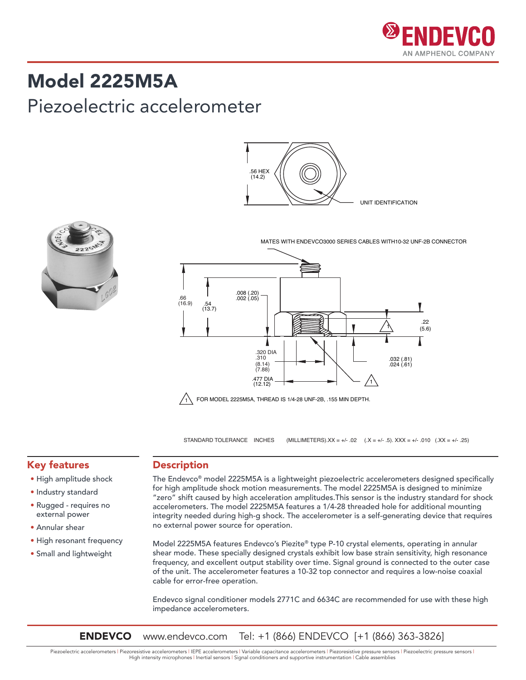

### Model 2225M5A

### Piezoelectric accelerometer



UNIT IDENTIFICATION .56 HEX (14.2)

MATES WITH ENDEVCO3000 SERIES CABLES WITH10-32 UNF-2B CONNECTOR



STANDARD TOLERANCE INCHES (MILLIMETERS).XX = +/- .02 (.X = +/- .5). XXX = +/- .010 (.XX = +/- .25)

#### Key features

- High amplitude shock
- Industry standard
- Rugged requires no external power
- Annular shear
- High resonant frequency
- Small and lightweight

#### Description

The Endevco® model 2225M5A is a lightweight piezoelectric accelerometers designed specifically for high amplitude shock motion measurements. The model 2225M5A is designed to minimize "zero" shift caused by high acceleration amplitudes.This sensor is the industry standard for shock accelerometers. The model 2225M5A features a 1/4-28 threaded hole for additional mounting integrity needed during high-g shock. The accelerometer is a self-generating device that requires no external power source for operation.

Model 2225M5A features Endevco's Piezite® type P-10 crystal elements, operating in annular shear mode. These specially designed crystals exhibit low base strain sensitivity, high resonance frequency, and excellent output stability over time. Signal ground is connected to the outer case of the unit. The accelerometer features a 10-32 top connector and requires a low-noise coaxial cable for error-free operation.

Endevco signal conditioner models 2771C and 6634C are recommended for use with these high impedance accelerometers.

ENDEVCO www.endevco.com Tel: +1 (866) ENDEVCO [+1 (866) 363-3826]

Piezoelectric accelerometers | Piezoresistive accelerometers | IEPE accelerometers | Variable capacitance accelerometers | Piezoresistive pressure sensors | Piezoelectric pressure sensors | High intensity microphones | Inertial sensors | Signal conditioners and supportive instrumentation | Cable assemblies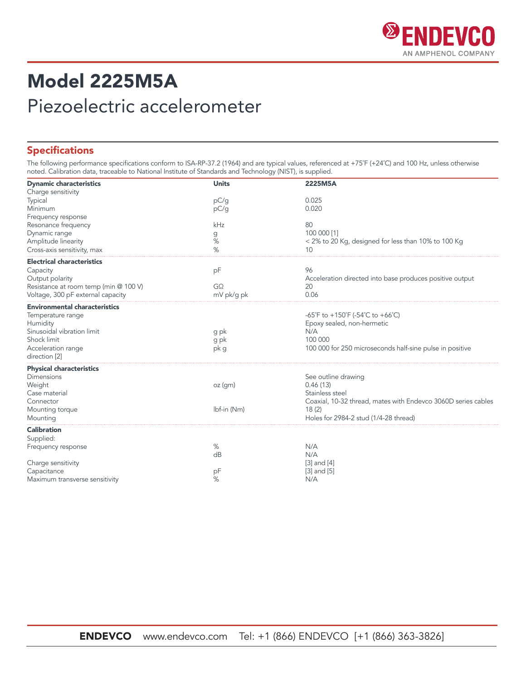

## Model 2225M5A Piezoelectric accelerometer

#### Specifications

The following performance specifications conform to ISA-RP-37.2 (1964) and are typical values, referenced at +75˚F (+24˚C) and 100 Hz, unless otherwise noted. Calibration data, traceable to National Institute of Standards and Technology (NIST), is supplied.

| <b>Dynamic characteristics</b>        | <b>Units</b> | 2225M5A                                                       |
|---------------------------------------|--------------|---------------------------------------------------------------|
| Charge sensitivity                    |              |                                                               |
| Typical                               | pC/g         | 0.025                                                         |
| Minimum                               | pC/g         | 0.020                                                         |
| Frequency response                    |              |                                                               |
| Resonance frequency                   | kHz          | 80                                                            |
| Dynamic range                         | g            | 100 000 [1]                                                   |
| Amplitude linearity                   | $\%$         | < 2% to 20 Kg, designed for less than 10% to 100 Kg           |
| Cross-axis sensitivity, max           | %            | 10                                                            |
| <b>Electrical characteristics</b>     |              |                                                               |
| Capacity                              | pF           | 96                                                            |
| Output polarity                       |              | Acceleration directed into base produces positive output      |
| Resistance at room temp (min @ 100 V) | $G\Omega$    | 20                                                            |
| Voltage, 300 pF external capacity     | mV pk/q pk   | 0.06                                                          |
| <b>Environmental characteristics</b>  |              |                                                               |
| Temperature range                     |              | -65°F to +150°F (-54°C to +66°C)                              |
| Humidity                              |              | Epoxy sealed, non-hermetic                                    |
| Sinusoidal vibration limit            | g pk         | N/A                                                           |
| Shock limit                           | g pk         | 100 000                                                       |
| Acceleration range                    | pk g         | 100 000 for 250 microseconds half-sine pulse in positive      |
| direction [2]                         |              |                                                               |
| <b>Physical characteristics</b>       |              |                                                               |
| <b>Dimensions</b>                     |              | See outline drawing                                           |
| Weight                                | oz(gm)       | 0.46(13)                                                      |
| Case material                         |              | Stainless steel                                               |
| Connector                             |              | Coaxial, 10-32 thread, mates with Endevco 3060D series cables |
| Mounting torque                       | Ibf-in (Nm)  | 18(2)                                                         |
| Mounting                              |              | Holes for 2984-2 stud (1/4-28 thread)                         |
| <b>Calibration</b>                    |              |                                                               |
| Supplied:                             |              |                                                               |
| Frequency response                    | %            | N/A                                                           |
|                                       | dB           | N/A                                                           |
| Charge sensitivity                    |              | $[3]$ and $[4]$                                               |
| Capacitance                           | pF           | $[3]$ and $[5]$                                               |
| Maximum transverse sensitivity        | %            | N/A                                                           |